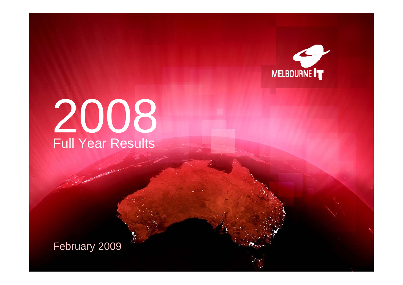

# 2008 Full Year Results

February 2009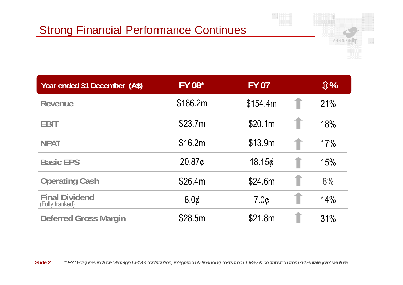

| Year ended 31 December (A\$)             | <b>FY 08*</b>      | <b>FY 07</b> | <b><b></b><i>€</i></b> |
|------------------------------------------|--------------------|--------------|------------------------|
| <b>Revenue</b>                           | \$186.2m           | \$154.4m     | 21%                    |
| <b>EBIT</b>                              | \$23.7m            | \$20.1m      | 18%                    |
| <b>NPAT</b>                              | \$16.2m            | \$13.9m      | 17%                    |
| <b>Basic EPS</b>                         | 20.87 <sub>¢</sub> | 18.15 $\phi$ | 15%                    |
| <b>Operating Cash</b>                    | \$26.4m            | \$24.6m      | 8%                     |
| <b>Final Dividend</b><br>(Fully franked) | 80¢                | $7.0\phi$    | 14%                    |
| <b>Deferred Gross Margin</b>             | \$28.5m            | \$21.8m      | 31%                    |

**Slide 2***\* FY 08 figures include VeriSign DBMS contribution, integration & financing costs from 1 May & contribution from Advantate joint venture*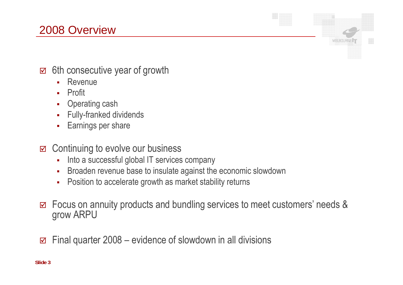## 2008 Overview

- $\Xi$  6th consecutive year of growth
	- $\blacksquare$ Revenue
	- Î. Profit
	- Î. Operating cash
	- Î, Fully-franked dividends
	- à. Earnings per share
- $\Xi$  Continuing to evolve our business
	- Î. Into a successful global IT services company
	- Î. Broaden revenue base to insulate against the economic slowdown
	- $\blacksquare$ Position to accelerate growth as market stability returns
- $\Delta$ Focus on annuity products and bundling services to meet customers' needs & grow ARPU

**MELBOURNE** 

 $\overline{\mathbf{M}}$  $\Xi$  Final quarter 2008 – evidence of slowdown in all divisions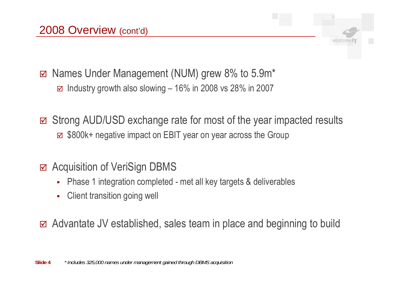⊠ Names Under Management (NUM) grew 8% to 5.9m\*  $\Xi$  Industry growth also slowing – 16% in 2008 vs 28% in 2007

 $\Delta$  Strong AUD/USD exchange rate for most of the year impacted results ■ \$800k+ negative impact on EBIT year on year across the Group

## **Ø Acquisition of VeriSign DBMS**

- П Phase 1 integration completed - met all key targets & deliverables
- $\blacksquare$ Client transition going well

 $\Xi$  Advantate JV established, sales team in place and beginning to build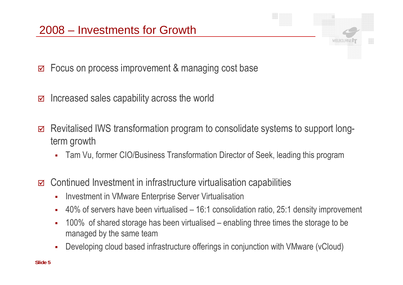$\blacktriangledown$ Focus on process improvement & managing cost base

- $\overline{\mathbf{M}}$ Increased sales capability across the world
- $\overline{\mathsf{M}}$  Revitalised IWS transformation program to consolidate systems to support longterm growth
	- $\blacksquare$ Tam Vu, former CIO/Business Transformation Director of Seek, leading this program
- $\overline{\mathbf{M}}$  Continued Investment in infrastructure virtualisation capabilities
	- Î. Investment in VMware Enterprise Server Virtualisation
	- Î. • 40% of servers have been virtualised – 16:1 consolidation ratio, 25:1 density improvement
	- Î. 100% of shared storage has been virtualised – enabling three times the storage to be managed by the same team
	- a. Developing cloud based infrastructure offerings in conjunction with VMware (vCloud)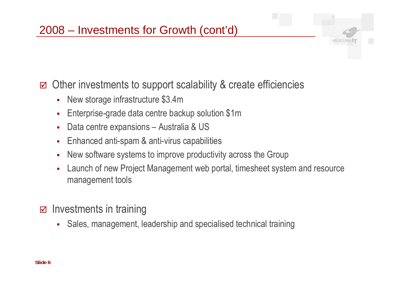$\overline{\mathbf{M}}$ Other investments to support scalability & create efficiencies

- $\blacksquare$ New storage infrastructure \$3.4m
- Ē. - Enterprise-grade data centre backup solution \$1m
- п Data centre expansions – Australia & US
- $\blacksquare$ Enhanced anti-spam & anti-virus capabilities
- Ē. New software systems to improve productivity across the Group
- Ė Launch of new Project Management web portal, timesheet system and resource mana gement tools
- $\boxdot$  Investments in training
	- $\mathbf{r}$ Sales, management, leadership and specialised technical training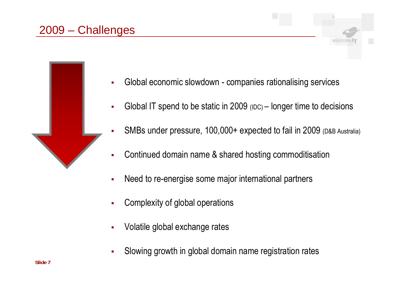## 2009 – Challenges



- П Global IT spend to be static in  $2009$  ( $DC$ ) – longer time to decisions
- П SMBs under pressure, 100,000+ expected to fail in 2009 (D&B Australia)
- п Continued domain name & shared hosting commoditisation
- П Need to re-energise some major international partners
- п Complexity of global operations
- п Volatile global exchange rates
- п Slowing growth in global domain name registration rates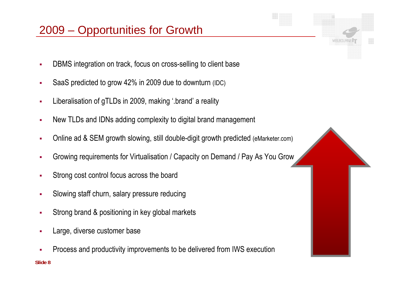## 2009 – Opportunities for Growth

- $\mathbf{r}$ DBMS integration on track, focus on cross-selling to client base
- $\mathbf{r}$ SaaS predicted to grow 42% in 2009 due to downturn (IDC)
- $\mathbf{r}$ Liberalisation of gTLDs in 2009, making '.brand' a reality
- $\mathbf{r}$ New TLDs and IDNs adding complexity to digital brand management
- × • Online ad & SEM growth slowing, still double-digit growth predicted (eMarketer.com)
- × Growing requirements for Virtualisation / Capacity on Demand / Pay As You Grow
- $\mathbf{r}$ Strong cost control focus across the board
- $\mathbf{r}$ Slowing staff churn, salary pressure reducing
- ٠ Strong brand & positioning in key global markets
- $\mathbf{r}$ Large, diverse customer base
- **Slide 8** п Process and productivity improvements to be delivered from IWS execution



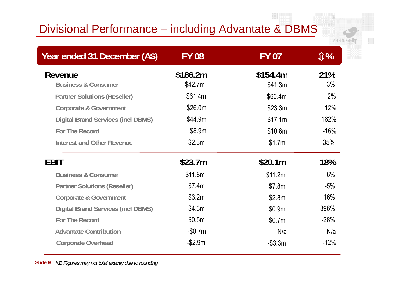## Divisional Performance – including Advantate & DBMS

MELBOURNE<sup>1</sup>

| Year ended 31 December (A\$)              | <b>FY 08</b>        | <b>FY 07</b>        | <b>介%</b>  |
|-------------------------------------------|---------------------|---------------------|------------|
| Revenue<br><b>Business &amp; Consumer</b> | \$186.2m<br>\$42.7m | \$154.4m<br>\$41.3m | 21%<br>3%  |
| <b>Partner Solutions (Reseller)</b>       | \$61.4m             | \$60.4m             | 2%         |
| <b>Corporate &amp; Government</b>         | \$26.0m             | \$23.3m             | 12%        |
| <b>Digital Brand Services (incl DBMS)</b> | \$44.9m             | \$17.1m             | 162%       |
| <b>For The Record</b>                     | \$8.9m              | \$10.6m             | $-16%$     |
| <b>Interest and Other Revenue</b>         | \$2.3m              | \$1.7m              | 35%        |
| EBIT                                      | \$23.7m             | \$20.1m             | <b>18%</b> |
| <b>Business &amp; Consumer</b>            | \$11.8m             | \$11.2m             | 6%         |
| <b>Partner Solutions (Reseller)</b>       | \$7.4m              | \$7.8m              | $-5%$      |
| <b>Corporate &amp; Government</b>         | \$3.2m              | \$2.8m              | 16%        |
| <b>Digital Brand Services (incl DBMS)</b> | \$4.3m              | \$0.9m              | 396%       |
| <b>For The Record</b>                     | \$0.5m              | \$0.7m              | $-28%$     |
| <b>Advantate Contribution</b>             | $-$0.7m$            | N/a                 | N/a        |
| <b>Corporate Overhead</b>                 | $-$2.9m$            | $-$ \$3.3m          | $-12%$     |

**Slide 9** *NB Figures may not total exactly due to rounding*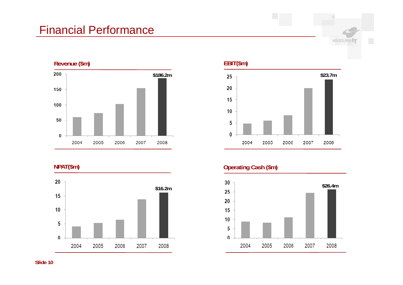## Financial Performance





#### **EBIT(\$m)**



MELBOURNE<sup>IT</sup>

#### **NPAT(\$m) Operating Cash (\$m)**

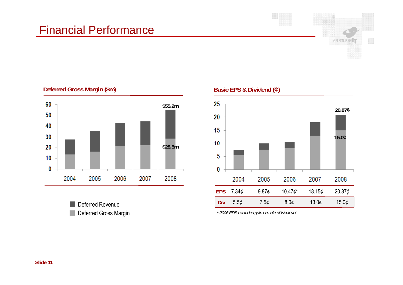#### Financial Performance



#### **Deferred Gross Margin (\$m)**



**Deferred Revenue** 

**Basic EPS & Dividend (¢)**



Deferred Gross Margin *\* 2006 EPS excludes gain on sale of Neulevel*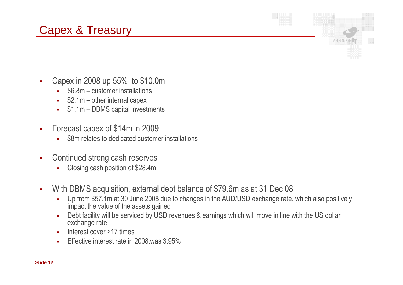## Capex & Treasury



- $\mathbf{r}$ Capex in 2008 up 55% to \$10.0m
	- $\mathbf{r}$ \$6.8m – customer installations
	- п \$2.1m – other internal capex
	- à, \$1.1m – DBMS capital investments
- $\blacksquare$  Forecast capex of \$14m in 2009
	- п \$8m relates to dedicated customer installations
- $\mathbf{r}$  Continued strong cash reserves
	- п Closing cash position of \$28.4m
- $\mathbf{r}$  With DBMS acquisition, external debt balance of \$79.6m as at 31 Dec 08
	- $\blacksquare$  Up from \$57.1m at 30 June 2008 due to changes in the AUD/USD exchange rate, which also positively impact the value of the assets gained
	- × Debt facility will be serviced by USD revenues & earnings which will move in line with the US dollar exchange rate
	- Î. Interest cover >17 times
	- **Effective interest rate in 2008 was 3.95%** ×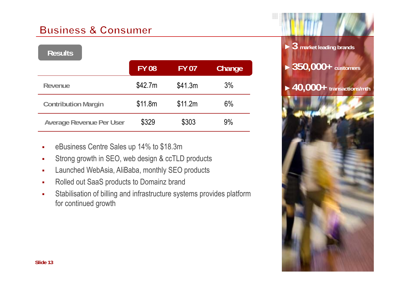#### **Business & Consumer**

| <b>Results</b>                  |              |              |        |
|---------------------------------|--------------|--------------|--------|
|                                 | <b>FY 08</b> | <b>FY 07</b> | Change |
| Revenue                         | \$42.7m      | \$41.3m      | 3%     |
| <b>Contribution Margin</b>      | \$11.8m      | \$11.2m      | 6%     |
| <b>Average Revenue Per User</b> | \$329        | \$303        | 9%     |

- eBusiness Centre Sales up 14% to \$18.3m
- $\mathbf{r}$ Strong growth in SEO, web design & ccTLD products
- $\mathbf{r}$ Launched WebAsia, AliBaba, monthly SEO products
- $\mathbf{r}$ Rolled out SaaS products to Domainz brand
- $\mathbf{r}$  Stabilisation of billing and infrastructure systems provides platform for continued growth

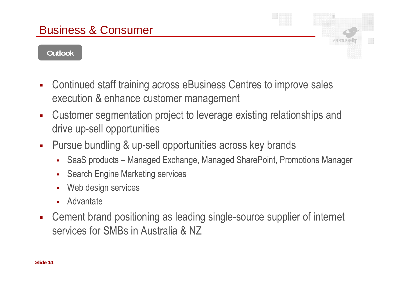#### **Outlook**

- $\mathcal{L}_{\mathcal{A}}$  Continued staff training across eBusiness Centres to improve sales execution & enhance customer management
- $\blacksquare$  Customer segmentation project to leverage existing relationships and drive up-sell opportunities
- $\blacksquare$ Pursue bundling & up-sell opportunities across key brands
	- $\blacksquare$ SaaS products – Managed Exchange, Managed SharePoint, Promotions Manager
	- П Search Engine Marketing services
	- п Web design services
	- П **Advantate**
- $\mathcal{L}_{\mathcal{A}}$  Cement brand positioning as leading single-source supplier of internet services for SMBs in Australia & NZ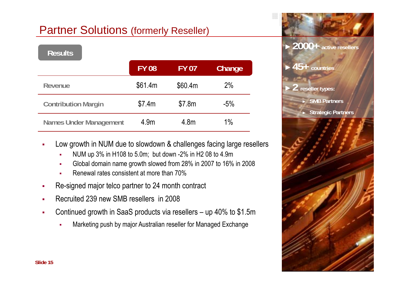## Partner Solutions (formerly Reseller)

| <b>Results</b>                |              |              |        |
|-------------------------------|--------------|--------------|--------|
|                               | <b>FY 08</b> | <b>FY 07</b> | Change |
| Revenue                       | \$61.4m      | \$60.4m      | 2%     |
| <b>Contribution Margin</b>    | \$7.4m       | \$7.8m       | $-5%$  |
| <b>Names Under Management</b> | 4.9m         | 4.8m         | $1\%$  |

- Low growth in NUM due to slowdown & challenges facing large resellers п
	- г NUM up 3% in H108 to 5.0m; but down -2% in H2 08 to 4.9m
	- г Global domain name growth slowed from 28% in 2007 to 16% in 2008
	- г Renewal rates consistent at more than 70%
- п Re-signed major telco partner to 24 month contract
- п Recruited 239 new SMB resellers in 2008
- $\mathbf{u}$  . Continued growth in SaaS products via resellers – up 40% to \$1.5m
	- ۳ Marketing push by major Australian reseller for Managed Exchange

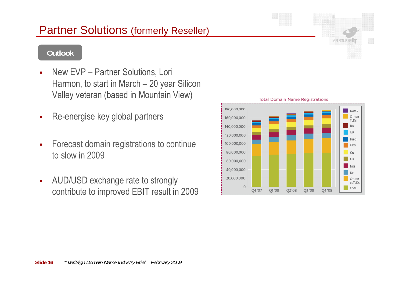#### **Slide 16***\* VeriSign Domain Name Industry Brief – February 2009*

#### Partner Solutions (formerly Reseller)

#### **Outlook**

- $\overline{\phantom{a}}$  New EVP – Partner Solutions, Lori Harmon, to start in March – 20 year Silicon Valley veteran (based in Mountain View)
- $\blacksquare$ Re-energise key global partners
- $\overline{\phantom{a}}$  Forecast domain registrations to continue to slow in 2009
- $\blacksquare$  AUD/USD exchange rate to strongly contribute to improved EBIT result in 2009



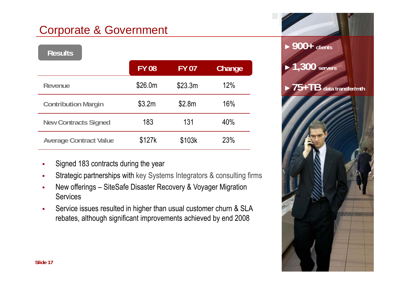## Corporate & Government

| <b>Results</b>                |              |              |        | <b>7 UU T</b> CIIENIS                    |
|-------------------------------|--------------|--------------|--------|------------------------------------------|
|                               | <b>FY 08</b> | <b>FY 07</b> | Change | $\blacktriangleright$ 1,300 servers      |
| Revenue                       | \$26.0m      | \$23.3m      | 12%    | $\triangleright$ 75+TB data transfer/mth |
| <b>Contribution Margin</b>    | \$3.2m       | \$2.8m       | 16%    |                                          |
| <b>New Contracts Signed</b>   | 183          | 131          | 40%    |                                          |
| <b>Average Contract Value</b> | \$127k       | \$103k       | 23%    |                                          |

- г Signed 183 contracts during the year
- Strategic partnerships with key Systems Integrators & consulting firms г
- г New offerings – SiteSafe Disaster Recovery & Voyager Migration **Services**
- г • Service issues resulted in higher than usual customer churn & SLA rebates, although significant improvements achieved by end 2008

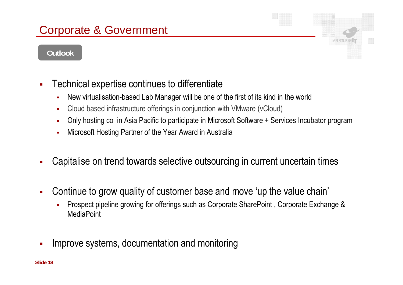## Corporate & Government

#### **Outlook**



- $\mathcal{L}_{\mathcal{A}}$  Technical expertise continues to differentiate
	- × New virtualisation-based Lab Manager will be one of the first of its kind in the world
	- × Cloud based infrastructure offerings in conjunction with VMware (vCloud)
	- × Only hosting co in Asia Pacific to participate in Microsoft Software + Services Incubator program
	- $\blacksquare$ Microsoft Hosting Partner of the Year Award in Australia
- $\mathbf{r}$ Capitalise on trend towards selective outsourcing in current uncertain times
- $\overline{\phantom{a}}$  Continue to grow quality of customer base and move 'up the value chain'
	- Î. Prospect pipeline growing for offerings such as Corporate SharePoint , Corporate Exchange & **MediaPoint**
- Improve systems, documentation and monitoring  $\overline{\phantom{a}}$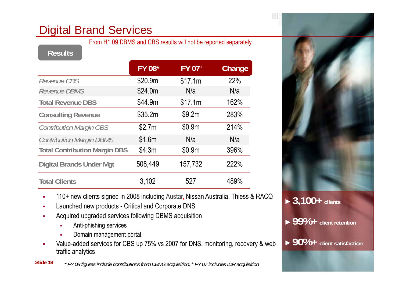## Digital Brand Services

From H1 09 DBMS and CBS results will not be reported separately.

|                                      | <b>FY 08*</b> | FY 07+  | Change |
|--------------------------------------|---------------|---------|--------|
| Revenue CBS                          | \$20.9m       | \$17.1m | 22%    |
| Revenue DBMS                         | \$24.0m       | N/a     | N/a    |
| <b>Total Revenue DBS</b>             | \$44.9m       | \$17.1m | 162%   |
| <b>Consulting Revenue</b>            | \$35.2m       | \$9.2m  | 283%   |
| <b>Contribution Margin CBS</b>       | \$2.7m        | \$0.9m  | 214%   |
| <b>Contribution Margin DBMS</b>      | \$1.6m        | N/a     | N/a    |
| <b>Total Contribution Margin DBS</b> | \$4.3m        | \$0.9m  | 396%   |
| <b>Digital Brands Under Mgt</b>      | 508,449       | 157,732 | 222%   |
| <b>Total Clients</b>                 | 3,102         | 527     | 489%   |



- $\blacksquare$ • 110+ new clients signed in 2008 including Austar, Nissan Australia, Thiess & RACQ<br>• Launched new products - Critical and Corporate DNS
- П Launched new products - Critical and Corporate DNS
- П Acquired upgraded services following DBMS acquisition
	- г Anti-phishing services
	- г Domain management portal
- п Value-added services for CBS up 75% vs 2007 for DNS, monitoring, recovery & web traffic analytics



►**99%+ client retention**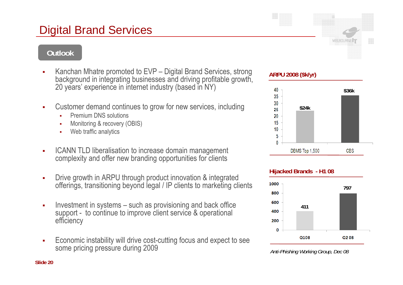## Digital Brand Services

#### **Outlook**

- Kanchan Mhatre promoted to EVP – Digital Brand Services, strong Ranchan Milatie promoted to EVF – Digital Brand Services, strong and **ARPU 2008 (\$k/yr)**<br>background in integrating businesses and driving profitable growth, and an analytical 20 years' experience in internet industry (based in NY)
- • Customer demand continues to grow for new services, including  $\frac{30}{25}$  s24k
	- г Premium DNS solutions
	- г Monitoring & recovery (OBIS)
	- $\mathbf{r}$ Web traffic analytics
- ICANN TLD liberalisation to increase domain management complexity and offer new branding opportunities for clients
- **EXPLE FIGUREY INTERS INTER INTER INTERED FEEDED Drawing School Contracts** Supersted ■ offerings, transitioning beyond legal / IP clients to marketing clients
- Investment in systems – such as provisioning and back office support - to continue to improve client service & operational efficiency
- Economic instability will drive cost-cutting focus and expect to see<br>Some pricing pressure during 2009 *Anti-Phishing Working Group, Dec 08* ■





**MELBOURNE** 





**Slide 20**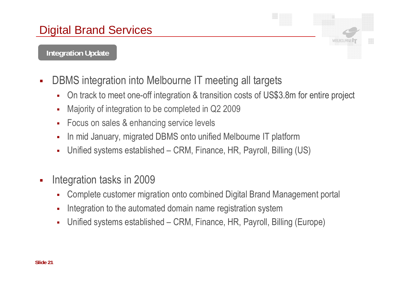#### **Integration Update**

- DBMS integration into Melbourne IT meeting all targets  $\overline{\phantom{a}}$ 
	- $\mathbf{r}$ On track to meet one-off integration & transition costs of US\$3.8m for entire project
	- Ē. Majority of integration to be completed in Q2 2009
	- × Focus on sales & enhancing service levels
	- × In mid January, migrated DBMS onto unified Melbourne IT platform
	- $\blacksquare$ Unified systems established – CRM, Finance, HR, Payroll, Billing (US)
- $\blacksquare$  Integration tasks in 2009
	- $\blacksquare$ Complete customer migration onto combined Digital Brand Management portal
	- × Integration to the automated domain name registration system
	- × Unified systems established – CRM, Finance, HR, Payroll, Billing (Europe)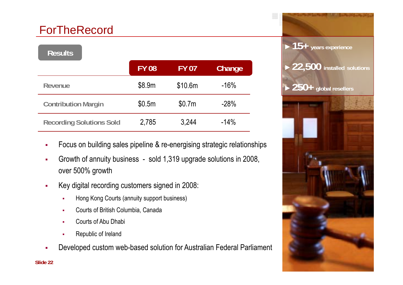## ForTheRecord

| <b>Results</b>                  |              |              |        |
|---------------------------------|--------------|--------------|--------|
|                                 | <b>FY 08</b> | <b>FY 07</b> | Change |
| Revenue                         | \$8.9m       | \$10.6m      | $-16%$ |
| <b>Contribution Margin</b>      | \$0.5m       | \$0.7m       | $-28%$ |
| <b>Recording Solutions Sold</b> | 2,785        | 3,244        | $-14%$ |

- Focus on building sales pipeline & re-energising strategic relationships  $\mathbf{r}$
- × Growth of annuity business - sold 1,319 upgrade solutions in 2008, over 500% growth
- $\mathbf{r}$  Key digital recording customers signed in 2008:
	- п Hong Kong Courts (annuity support business)
	- × Courts of British Columbia, Canada
	- ▄ Courts of Abu Dhabi
	- п Republic of Ireland
- Î. Developed custom web-based solution for Australian Federal Parliament

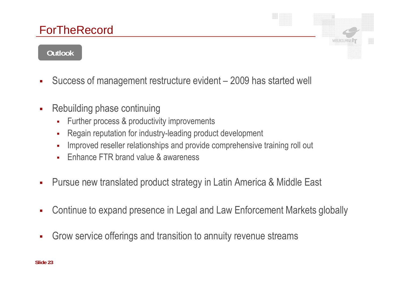## **ForTheRecord**

#### **Outlook**

- Success of management restructure evident 2009 has started well  $\overline{\phantom{a}}$
- $\overline{\phantom{a}}$  Rebuilding phase continuing
	- $\blacksquare$ Further process & productivity improvements
	- Î. Regain reputation for industry-leading product development
	- r. Improved reseller relationships and provide comprehensive training roll out
	- × Enhance FTR brand value & awareness
- $\overline{\phantom{a}}$ Pursue new translated product strategy in Latin America & Middle East
- $\mathcal{L}_{\mathcal{A}}$ Continue to expand presence in Legal and Law Enforcement Markets globally
- $\overline{\phantom{a}}$ Grow service offerings and transition to annuity revenue streams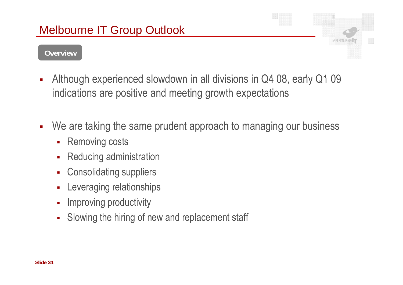# **MELBOURN**

#### **Overview**

- Although experienced slowdown in all divisions in Q4 08, early Q1 09 i. indications are positive and meeting growth expectations
- $\overline{\phantom{a}}$ We are taking the same prudent approach to managing our business
	- $\mathcal{L}_{\mathcal{A}}$ Removing costs
	- $\mathbf{r}$ Reducing administration
	- $\mathcal{L}_{\mathcal{A}}$ Consolidating suppliers
	- $\blacksquare$ Leveraging relationships
	- Ì. - Improving productivity
	- $\overline{\phantom{a}}$ Slowing the hiring of new and replacement staff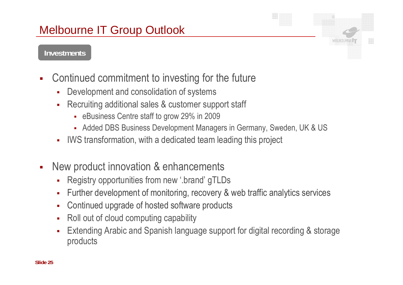## Melbourne IT Group Outlook

#### **Investments**

- $\mathcal{L}_{\mathcal{A}}$  Continued commitment to investing for the future
	- Ì. Development and consolidation of systems
	- $\blacksquare$  Recruiting additional sales & customer support staff
		- eBusiness Centre staff to grow 29% in 2009
		- Added DBS Business Development Managers in Germany, Sweden, UK & US
	- $\blacksquare$ IWS transformation, with a dedicated team leading this project
- $\overline{\phantom{a}}$  New product innovation & enhancements
	- $\blacksquare$ • Registry opportunities from new '.brand' gTLDs
	- $\blacksquare$ Further development of monitoring, recovery & web traffic analytics services
	- П Continued upgrade of hosted software products
	- $\blacksquare$ Roll out of cloud computing capability
	- I. Extending Arabic and Spanish language support for digital recording & storage products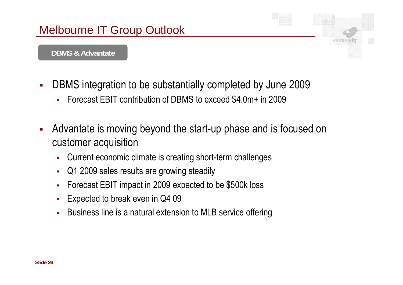

#### **DBMS & Advantate**

- $\mathcal{L}_{\mathcal{A}}$  DBMS integration to be substantially completed by June 2009
	- $\blacksquare$ Forecast EBIT contribution of DBMS to exceed \$4.0m+ in 2009
- $\overline{\phantom{a}}$  Advantate is moving beyond the start-up phase and is focused on customer acquisition
	- $\mathbf{r}$ Current economic climate is creating short-term challenges
	- $\blacksquare$ • Q1 2009 sales results are growing steadily
	- $\mathcal{L}_{\mathcal{A}}$ Forecast EBIT impact in 2009 expected to be \$500k loss
	- п Expected to break even in Q4 09
	- П - Business line is a natural extension to MLB service offering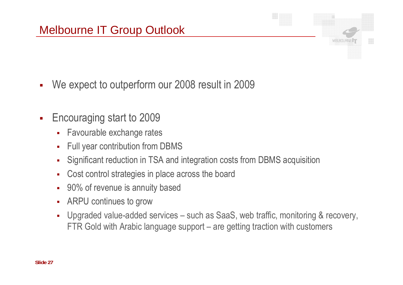- $\overline{\phantom{a}}$ We expect to outperform our 2008 result in 2009
- $\overline{\phantom{a}}$  Encouraging start to 2009
	- $\mathbf{r}$ Favourable exchange rates
	- $\blacksquare$ • Full year contribution from DBMS
	- $\blacksquare$ Significant reduction in TSA and integration costs from DBMS acquisition
	- $\mathcal{L}_{\mathcal{A}}$ Cost control strategies in place across the board
	- $\blacksquare$ 90% of revenue is annuity based
	- $\blacksquare$ ARPU continues to grow
	- Ē. Upgraded value-added services – such as SaaS, web traffic, monitoring & recovery, FTR Gold with Arabic language support – are getting traction with customers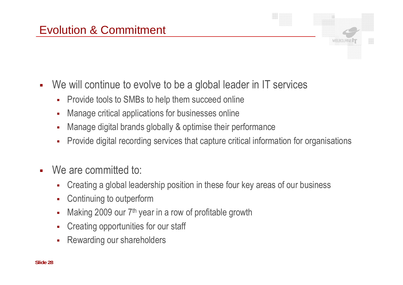- $\mathcal{L}_{\mathcal{A}}$  We will continue to evolve to be a global leader in IT services
	- $\blacksquare$ Provide tools to SMBs to help them succeed online
	- Ē. Manage critical applications for businesses online
	- Ē. Manage digital brands globally & optimise their performance
	- $\blacksquare$ Provide digital recording services that capture critical information for organisations
- $\mathbf{r}$ We are committed to:
	- $\blacksquare$ Creating a global leadership position in these four key areas of our business
	- п Continuing to outperform
	- Ē. Making 2009 our 7<sup>th</sup> year in a row of profitable growth
	- $\blacksquare$ Creating opportunities for our staff
	- Rewarding our shareholders Ē.